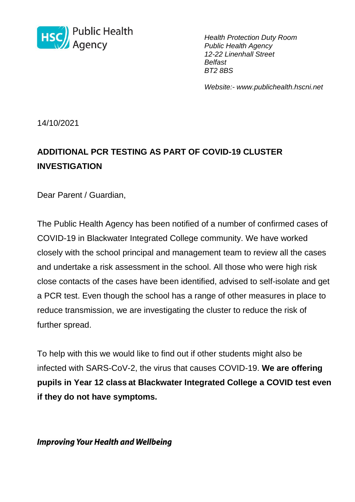

*Health Protection Duty Room Public Health Agency 12-22 Linenhall Street Belfast BT2 8BS*

*Website:- www.publichealth.hscni.net* 

14/10/2021

# **ADDITIONAL PCR TESTING AS PART OF COVID-19 CLUSTER INVESTIGATION**

Dear Parent / Guardian,

The Public Health Agency has been notified of a number of confirmed cases of COVID-19 in Blackwater Integrated College community. We have worked closely with the school principal and management team to review all the cases and undertake a risk assessment in the school. All those who were high risk close contacts of the cases have been identified, advised to self-isolate and get a PCR test. Even though the school has a range of other measures in place to reduce transmission, we are investigating the cluster to reduce the risk of further spread.

To help with this we would like to find out if other students might also be infected with SARS-CoV-2, the virus that causes COVID-19. **We are offering pupils in Year 12 class at Blackwater Integrated College a COVID test even if they do not have symptoms.**

**Improving Your Health and Wellbeing**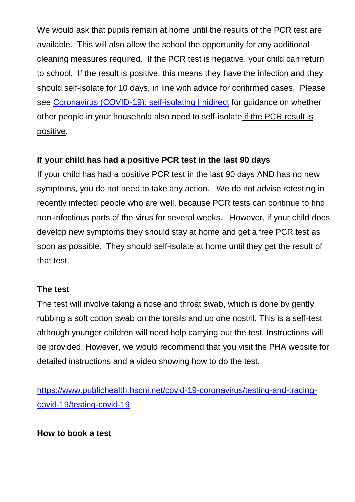We would ask that pupils remain at home until the results of the PCR test are available. This will also allow the school the opportunity for any additional cleaning measures required. If the PCR test is negative, your child can return to school. If the result is positive, this means they have the infection and they should self-isolate for 10 days, in line with advice for confirmed cases. Please see [Coronavirus \(COVID-19\): self-isolating | nidirect](https://www.nidirect.gov.uk/articles/coronavirus-covid-19-self-isolating) for guidance on whether other people in your household also need to self-isolate if the PCR result is positive.

## **If your child has had a positive PCR test in the last 90 days**

If your child has had a positive PCR test in the last 90 days AND has no new symptoms, you do not need to take any action. We do not advise retesting in recently infected people who are well, because PCR tests can continue to find non-infectious parts of the virus for several weeks. However, if your child does develop new symptoms they should stay at home and get a free PCR test as soon as possible. They should self-isolate at home until they get the result of that test.

#### **The test**

The test will involve taking a nose and throat swab, which is done by gently rubbing a soft cotton swab on the tonsils and up one nostril. This is a self-test although younger children will need help carrying out the test. Instructions will be provided. However, we would recommend that you visit the PHA website for detailed instructions and a video showing how to do the test.

[https://www.publichealth.hscni.net/covid-19-coronavirus/testing-and-tracing](https://www.publichealth.hscni.net/covid-19-coronavirus/testing-and-tracing-covid-19/testing-covid-19)[covid-19/testing-covid-19](https://www.publichealth.hscni.net/covid-19-coronavirus/testing-and-tracing-covid-19/testing-covid-19)

## **How to book a test**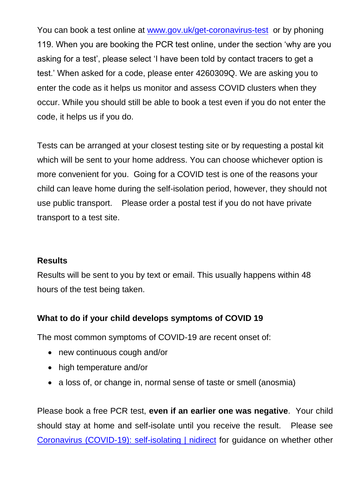You can book a test online at [www.gov.uk/get-coronavirus-test](http://www.gov.uk/get-coronavirus-test) or by phoning 119. When you are booking the PCR test online, under the section 'why are you asking for a test', please select 'I have been told by contact tracers to get a test.' When asked for a code, please enter 4260309Q. We are asking you to enter the code as it helps us monitor and assess COVID clusters when they occur. While you should still be able to book a test even if you do not enter the code, it helps us if you do.

Tests can be arranged at your closest testing site or by requesting a postal kit which will be sent to your home address. You can choose whichever option is more convenient for you. Going for a COVID test is one of the reasons your child can leave home during the self-isolation period, however, they should not use public transport. Please order a postal test if you do not have private transport to a test site.

#### **Results**

Results will be sent to you by text or email. This usually happens within 48 hours of the test being taken.

## **What to do if your child develops symptoms of COVID 19**

The most common symptoms of COVID-19 are recent onset of:

- new continuous cough and/or
- high temperature and/or
- a loss of, or change in, normal sense of taste or smell (anosmia)

Please book a free PCR test, **even if an earlier one was negative**. Your child should stay at home and self-isolate until you receive the result. Please see [Coronavirus \(COVID-19\): self-isolating | nidirect](https://www.nidirect.gov.uk/articles/coronavirus-covid-19-self-isolating) for guidance on whether other